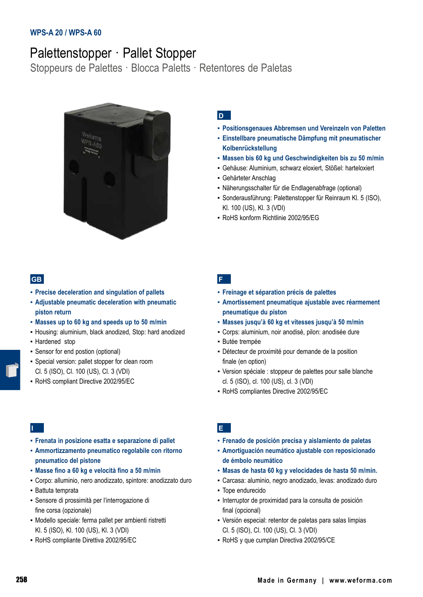## **WPS-A 20 / WPS-A 60**

# Palettenstopper · Pallet Stopper

Stoppeurs de Palettes · Blocca Paletts · Retentores de Paletas



# **D**

- **▪ Positionsgenaues Abbremsen und Vereinzeln von Paletten**
- **▪ Einstellbare pneumatische Dämpfung mit pneumatischer Kolbenrückstellung**
- **▪ Massen bis 60 kg und Geschwindigkeiten bis zu 50 m/min**
- Gehäuse: Aluminium, schwarz eloxiert, Stößel: harteloxiert
- Gehärteter Anschlag
- Näherungsschalter für die Endlagenabfrage (optional)
- Sonderausführung: Palettenstopper für Reinraum Kl. 5 (ISO), Kl. 100 (US), Kl. 3 (VDI)
- RoHS konform Richtlinie 2002/95/EG

### **GB**

- **▪ Precise deceleration and singulation of pallets**
- **▪ Adjustable pneumatic deceleration with pneumatic piston return**
- **▪ Masses up to 60 kg and speeds up to 50 m/min**
- Housing: aluminium, black anodized, Stop: hard anodized
- Hardened stop
- Sensor for end postion (optional)
- Special version: pallet stopper for clean room Cl. 5 (ISO), Cl. 100 (US), Cl. 3 (VDI)
- RoHS compliant Directive 2002/95/EC

#### **F**

- **▪ Freinage et séparation précis de palettes**
- **▪ Amortissement pneumatique ajustable avec réarmement pneumatique du piston**
- **▪ Masses jusqu'à 60 kg et vitesses jusqu'à 50 m/min**
- Corps: aluminium, noir anodisé, pilon: anodisée dure
- Butée trempée
- Détecteur de proximité pour demande de la position finale (en option)
- Version spéciale : stoppeur de palettes pour salle blanche cl. 5 (ISO), cl. 100 (US), cl. 3 (VDI)
- RoHS compliantes Directive 2002/95/EC

# **I**

- **▪ Frenata in posizione esatta e separazione di pallet**
- **▪ Ammortizzamento pneumatico regolabile con ritorno pneumatico del pistone**
- **▪ Masse fino a 60 kg e velocità fino a 50 m/min**
- Corpo: alluminio, nero anodizzato, spintore: anodizzato duro
- Battuta temprata
- Sensore di prossimità per l'interrogazione di fine corsa (opzionale)
- Modello speciale: ferma pallet per ambienti ristretti Kl. 5 (ISO), Kl. 100 (US), Kl. 3 (VDI)
- RoHS compliante Direttiva 2002/95/EC

# **E**

- **▪ Frenado de posición precisa y aislamiento de paletas**
- **▪ Amortiguación neumático ajustable con reposicionado de émbolo neumático**
- **▪ Masas de hasta 60 kg y velocidades de hasta 50 m/min.**
- Carcasa: aluminio, negro anodizado, levas: anodizado duro
- Tope endurecido
- Interruptor de proximidad para la consulta de posición final (opcional)
- Versión especial: retentor de paletas para salas limpias Cl. 5 (ISO), Cl. 100 (US), Cl. 3 (VDI)
- RoHS y que cumplan Directiva 2002/95/CE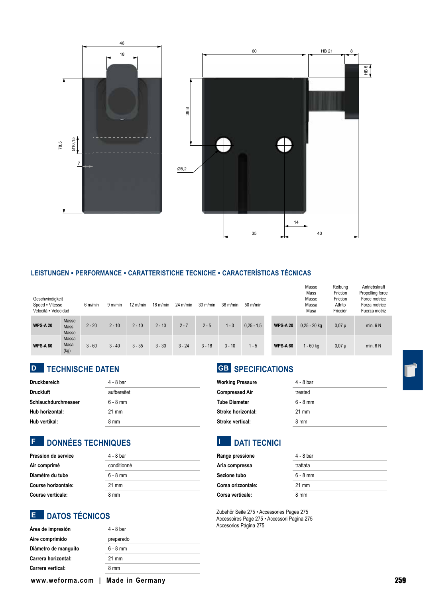

#### **LEISTUNGEN ▪ PERFORMANCE ▪ CARATTERISTICHE TECNICHE ▪ CARACTERÍSTICAS TÉCNICAS**

| Geschwindigkeit<br>Speed Vitesse<br>Velocità - Velocidad |                               | 6 m/min  | 9 m/min  | $12 \text{ m/min}$ | $18 \text{ m/min}$ | $24 \text{ m/min}$ | $30 \text{ m/min}$ | 36 m/min | $50 \text{ m/min}$ |                 | Masse<br>Mass<br>Masse<br>Massa<br>Masa | Reibung<br>Friction<br>Friction<br>Attrito<br>Fricción | Antriebskraft<br>Propelling force<br>Force motrice<br>Forza motrice<br>Fuerza motriz |
|----------------------------------------------------------|-------------------------------|----------|----------|--------------------|--------------------|--------------------|--------------------|----------|--------------------|-----------------|-----------------------------------------|--------------------------------------------------------|--------------------------------------------------------------------------------------|
| <b>WPS-A 20</b>                                          | Masse<br><b>Mass</b><br>Masse | $2 - 20$ | $2 - 10$ | $2 - 10$           | $2 - 10$           | $2 - 7$            | $2 - 5$            | $1 - 3$  | $0.25 - 1.5$       | <b>WPS-A20</b>  | $0.25 - 20$ kg                          | $0,07 \mu$                                             | min. 6 N                                                                             |
| <b>WPS-A 60</b>                                          | Massa<br>Masa<br>(kg)         | $3 - 60$ | $3 - 40$ | $3 - 35$           | $3 - 30$           | $3 - 24$           | $3 - 18$           | $3 - 10$ | $1 - 5$            | <b>WPS-A 60</b> | $1 - 60$ kg                             | $0,07 \mu$                                             | min. 6 N                                                                             |

# **TECHNISCHE DATEN D GB**

| <b>Druckbereich</b> | 4 - 8 bar   |  |  |  |  |
|---------------------|-------------|--|--|--|--|
| <b>Druckluft</b>    | aufbereitet |  |  |  |  |
| Schlauchdurchmesser | $6 - 8$ mm  |  |  |  |  |
| Hub horizontal:     | 21 mm       |  |  |  |  |
| Hub vertikal:       | 8 mm        |  |  |  |  |

# **DONNÉES TECHNIQUES F I**

| Pression de service | 4 - 8 bar       |  |  |  |
|---------------------|-----------------|--|--|--|
| Air comprimé        | conditionné     |  |  |  |
| Diamètre du tube    | $6 - 8$ mm      |  |  |  |
| Course horizontale: | $21 \text{ mm}$ |  |  |  |
| Course verticale:   | 8 mm            |  |  |  |

# **DATOS TÉCNICOS**

| Área de impresión    | 4 - 8 bar       |
|----------------------|-----------------|
| Aire comprimido      | preparado       |
| Diámetro de manguito | $6 - 8$ mm      |
| Carrera horizontal:  | $21 \text{ mm}$ |
| Carrera vertical:    | 8 mm            |
|                      |                 |

# **GB** SPECIFICATIONS

| <b>Working Pressure</b> | 4 - 8 bar  |  |  |  |
|-------------------------|------------|--|--|--|
| <b>Compressed Air</b>   | treated    |  |  |  |
| <b>Tube Diameter</b>    | $6 - 8$ mm |  |  |  |
| Stroke horizontal:      | 21 mm      |  |  |  |
| Stroke vertical:        | 8 mm       |  |  |  |

# **EXECUTE DATI TECNICI**

| Range pressione    | 4 - 8 bar                     |  |  |  |
|--------------------|-------------------------------|--|--|--|
| Aria compressa     | trattata                      |  |  |  |
| Sezione tubo       | $6 - 8$ mm<br>$21 \text{ mm}$ |  |  |  |
| Corsa orizzontale: |                               |  |  |  |
| Corsa verticale:   | 8 mm                          |  |  |  |

E DATOS TÉCNICOS<br>Accessories Page 275 • Accessories Page 275 • Accessories Page 275 • Accessori Pagina 275 Accesorios Página 275